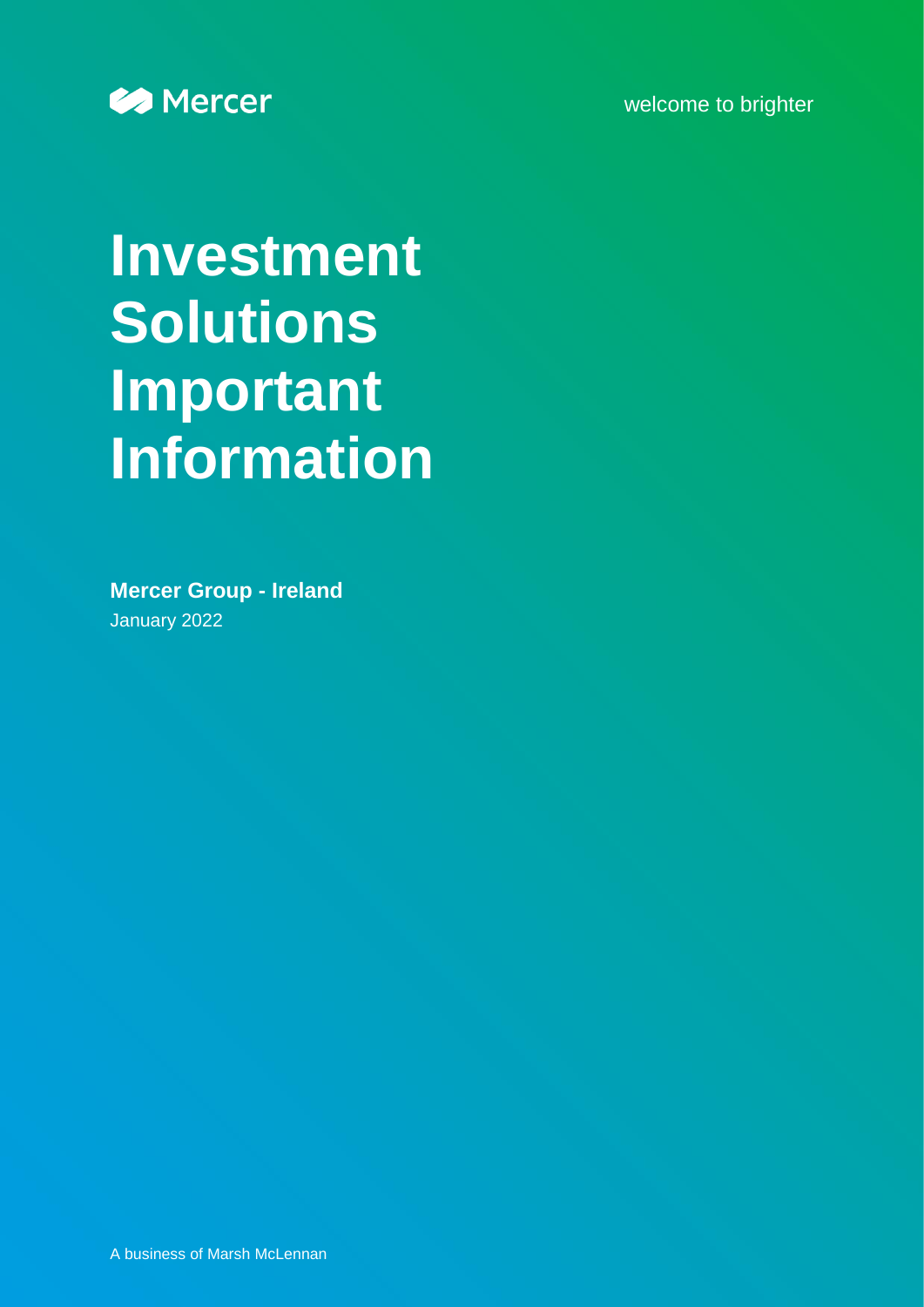welcome to brighter



# **Investment Solutions Important Information**

**Mercer Group - Ireland** January 2022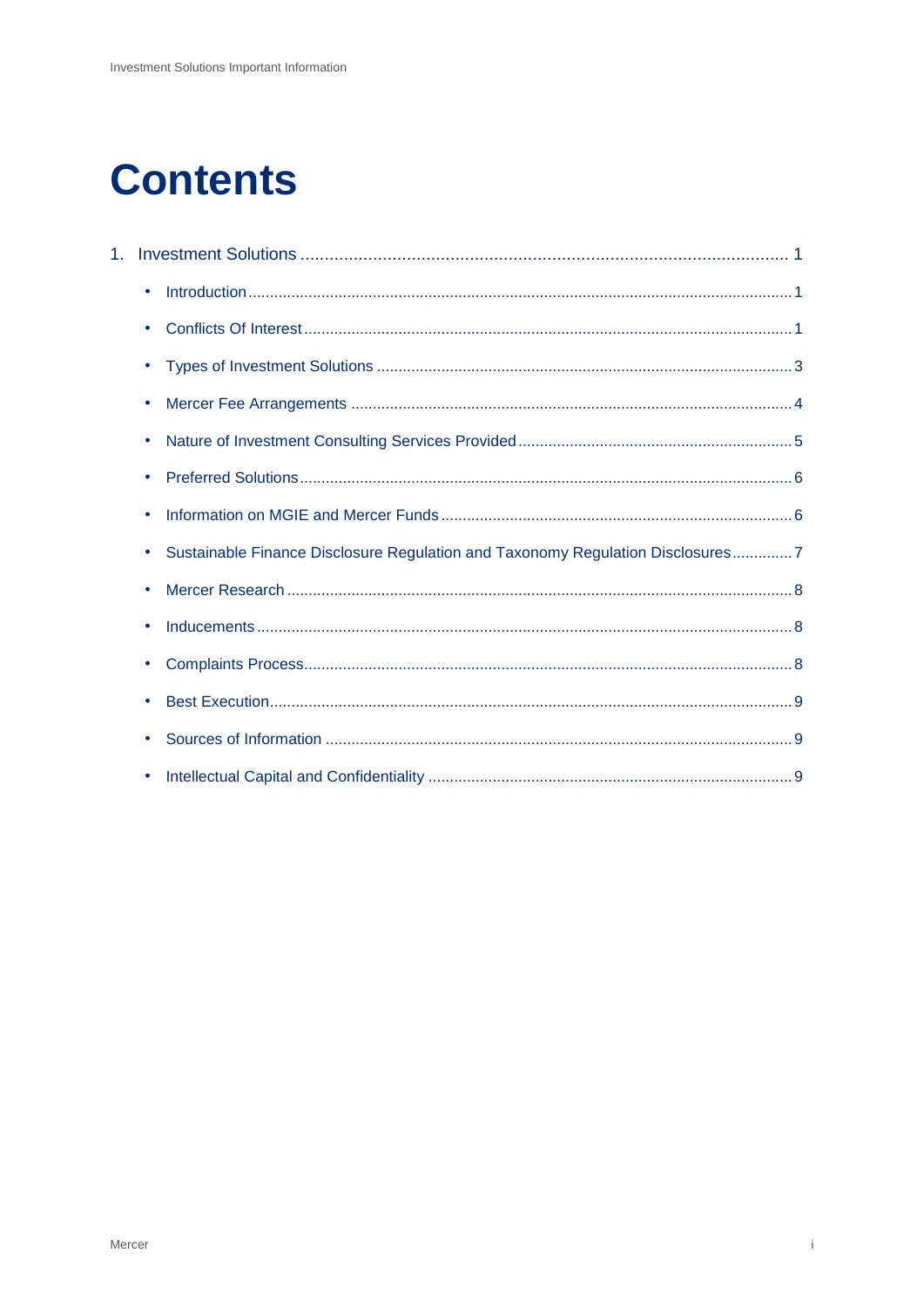## **Contents**

| $1_{-}$ |                                                                                |
|---------|--------------------------------------------------------------------------------|
|         | ٠                                                                              |
|         |                                                                                |
|         |                                                                                |
|         | ٠                                                                              |
|         |                                                                                |
|         |                                                                                |
|         |                                                                                |
|         | Sustainable Finance Disclosure Regulation and Taxonomy Regulation Disclosures7 |
|         |                                                                                |
|         | ۰                                                                              |
|         | ٠                                                                              |
|         |                                                                                |
|         |                                                                                |
|         |                                                                                |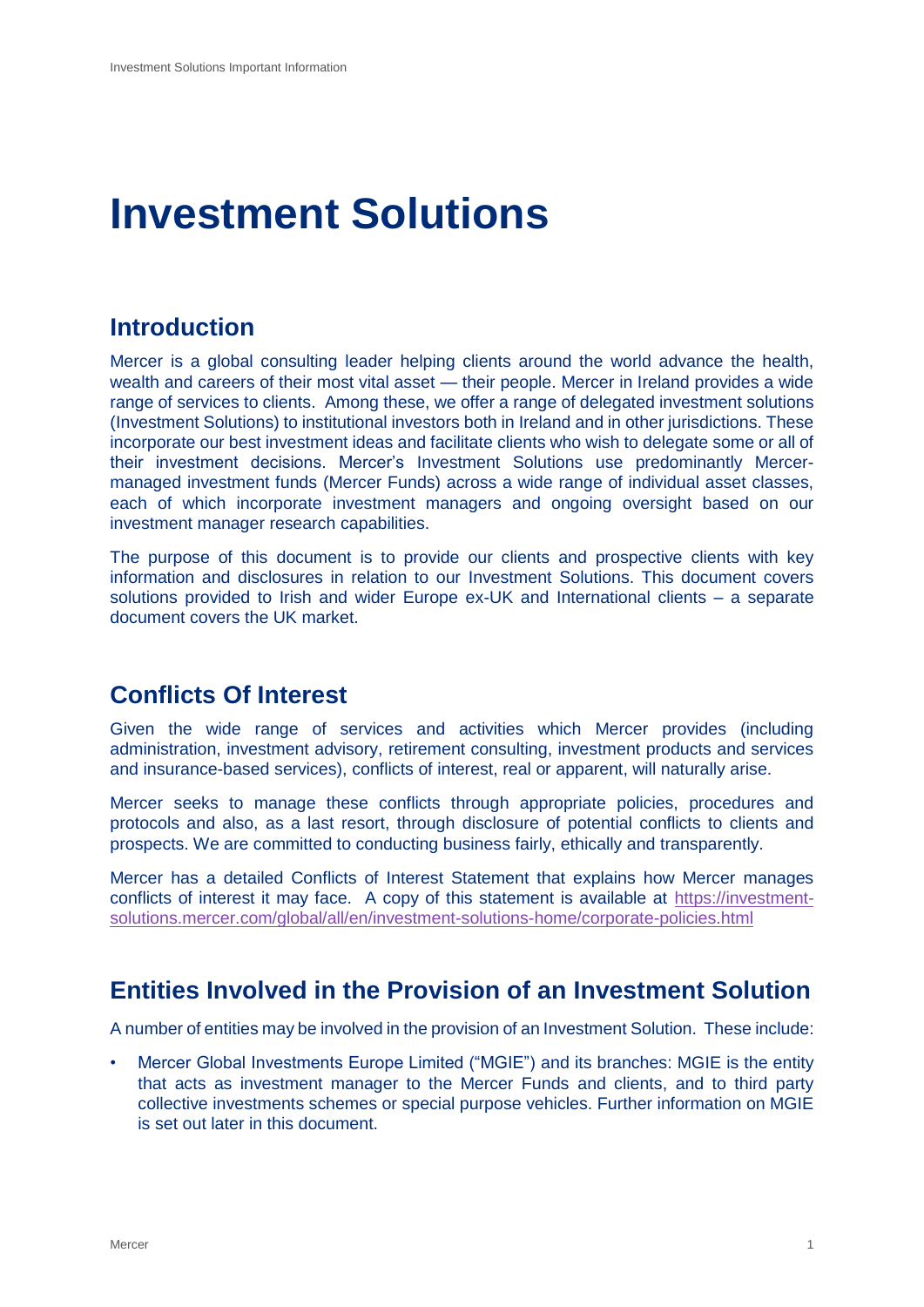## <span id="page-2-0"></span>**Investment Solutions**

## <span id="page-2-1"></span>**Introduction**

Mercer is a global consulting leader helping clients around the world advance the health, wealth and careers of their most vital asset — their people. Mercer in Ireland provides a wide range of services to clients. Among these, we offer a range of delegated investment solutions (Investment Solutions) to institutional investors both in Ireland and in other jurisdictions. These incorporate our best investment ideas and facilitate clients who wish to delegate some or all of their investment decisions. Mercer's Investment Solutions use predominantly Mercermanaged investment funds (Mercer Funds) across a wide range of individual asset classes, each of which incorporate investment managers and ongoing oversight based on our investment manager research capabilities.

The purpose of this document is to provide our clients and prospective clients with key information and disclosures in relation to our Investment Solutions. This document covers solutions provided to Irish and wider Europe ex-UK and International clients – a separate document covers the UK market.

## <span id="page-2-2"></span>**Conflicts Of Interest**

Given the wide range of services and activities which Mercer provides (including administration, investment advisory, retirement consulting, investment products and services and insurance-based services), conflicts of interest, real or apparent, will naturally arise.

Mercer seeks to manage these conflicts through appropriate policies, procedures and protocols and also, as a last resort, through disclosure of potential conflicts to clients and prospects. We are committed to conducting business fairly, ethically and transparently.

Mercer has a detailed Conflicts of Interest Statement that explains how Mercer manages conflicts of interest it may face. A copy of this statement is available at [https://investment](https://investment-solutions.mercer.com/global/all/en/investment-solutions-home/corporate-policies.html)[solutions.mercer.com/global/all/en/investment-solutions-home/corporate-policies.html](https://investment-solutions.mercer.com/global/all/en/investment-solutions-home/corporate-policies.html)

## **Entities Involved in the Provision of an Investment Solution**

A number of entities may be involved in the provision of an Investment Solution. These include:

• Mercer Global Investments Europe Limited ("MGIE") and its branches: MGIE is the entity that acts as investment manager to the Mercer Funds and clients, and to third party collective investments schemes or special purpose vehicles. Further information on MGIE is set out later in this document.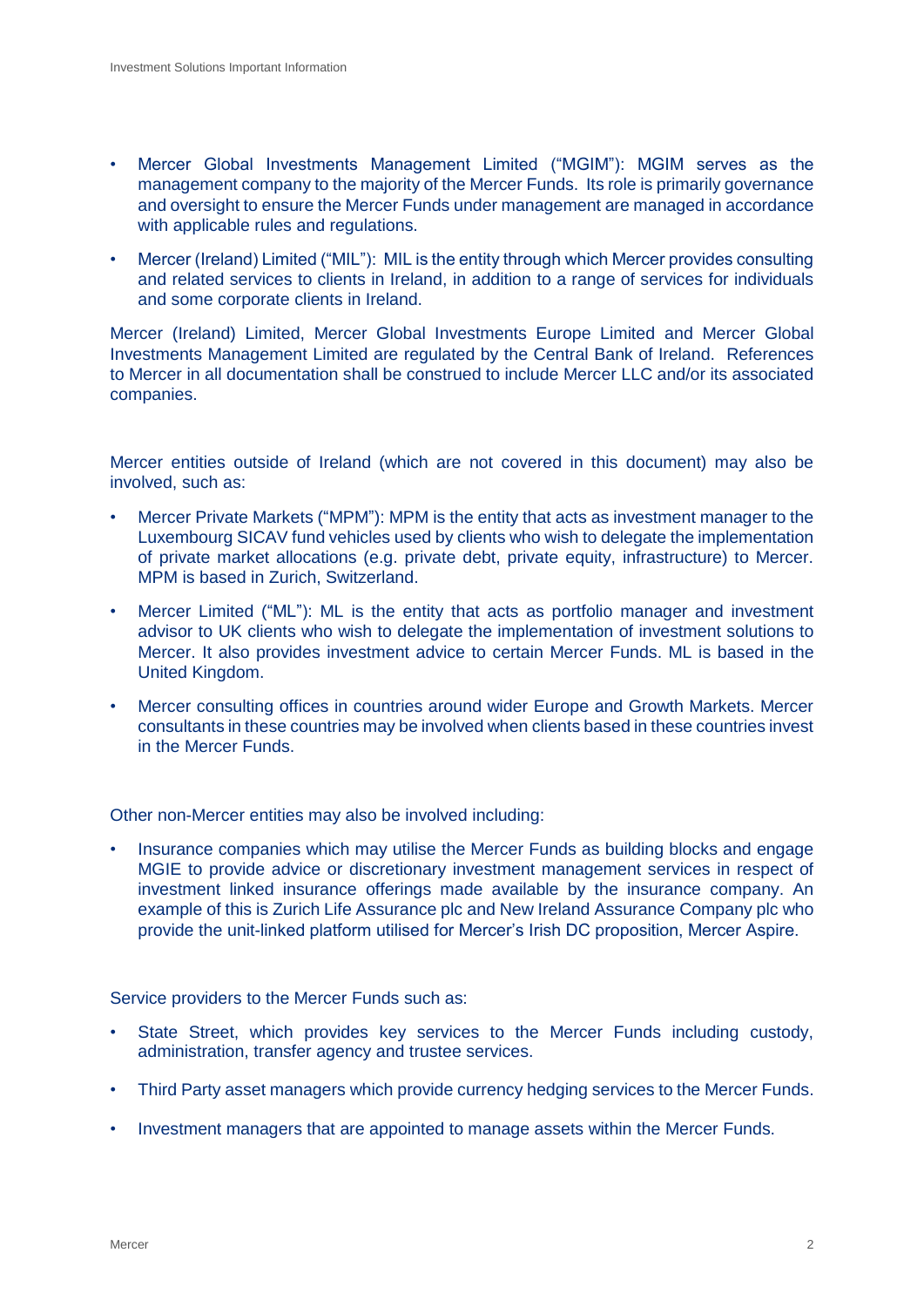- Mercer Global Investments Management Limited ("MGIM"): MGIM serves as the management company to the majority of the Mercer Funds. Its role is primarily governance and oversight to ensure the Mercer Funds under management are managed in accordance with applicable rules and regulations.
- Mercer (Ireland) Limited ("MIL"): MIL is the entity through which Mercer provides consulting and related services to clients in Ireland, in addition to a range of services for individuals and some corporate clients in Ireland.

Mercer (Ireland) Limited, Mercer Global Investments Europe Limited and Mercer Global Investments Management Limited are regulated by the Central Bank of Ireland. References to Mercer in all documentation shall be construed to include Mercer LLC and/or its associated companies.

Mercer entities outside of Ireland (which are not covered in this document) may also be involved, such as:

- Mercer Private Markets ("MPM"): MPM is the entity that acts as investment manager to the Luxembourg SICAV fund vehicles used by clients who wish to delegate the implementation of private market allocations (e.g. private debt, private equity, infrastructure) to Mercer. MPM is based in Zurich, Switzerland.
- Mercer Limited ("ML"): ML is the entity that acts as portfolio manager and investment advisor to UK clients who wish to delegate the implementation of investment solutions to Mercer. It also provides investment advice to certain Mercer Funds. ML is based in the United Kingdom.
- Mercer consulting offices in countries around wider Europe and Growth Markets. Mercer consultants in these countries may be involved when clients based in these countries invest in the Mercer Funds.

Other non-Mercer entities may also be involved including:

• Insurance companies which may utilise the Mercer Funds as building blocks and engage MGIE to provide advice or discretionary investment management services in respect of investment linked insurance offerings made available by the insurance company. An example of this is Zurich Life Assurance plc and New Ireland Assurance Company plc who provide the unit-linked platform utilised for Mercer's Irish DC proposition, Mercer Aspire.

Service providers to the Mercer Funds such as:

- State Street, which provides key services to the Mercer Funds including custody, administration, transfer agency and trustee services.
- Third Party asset managers which provide currency hedging services to the Mercer Funds.
- Investment managers that are appointed to manage assets within the Mercer Funds.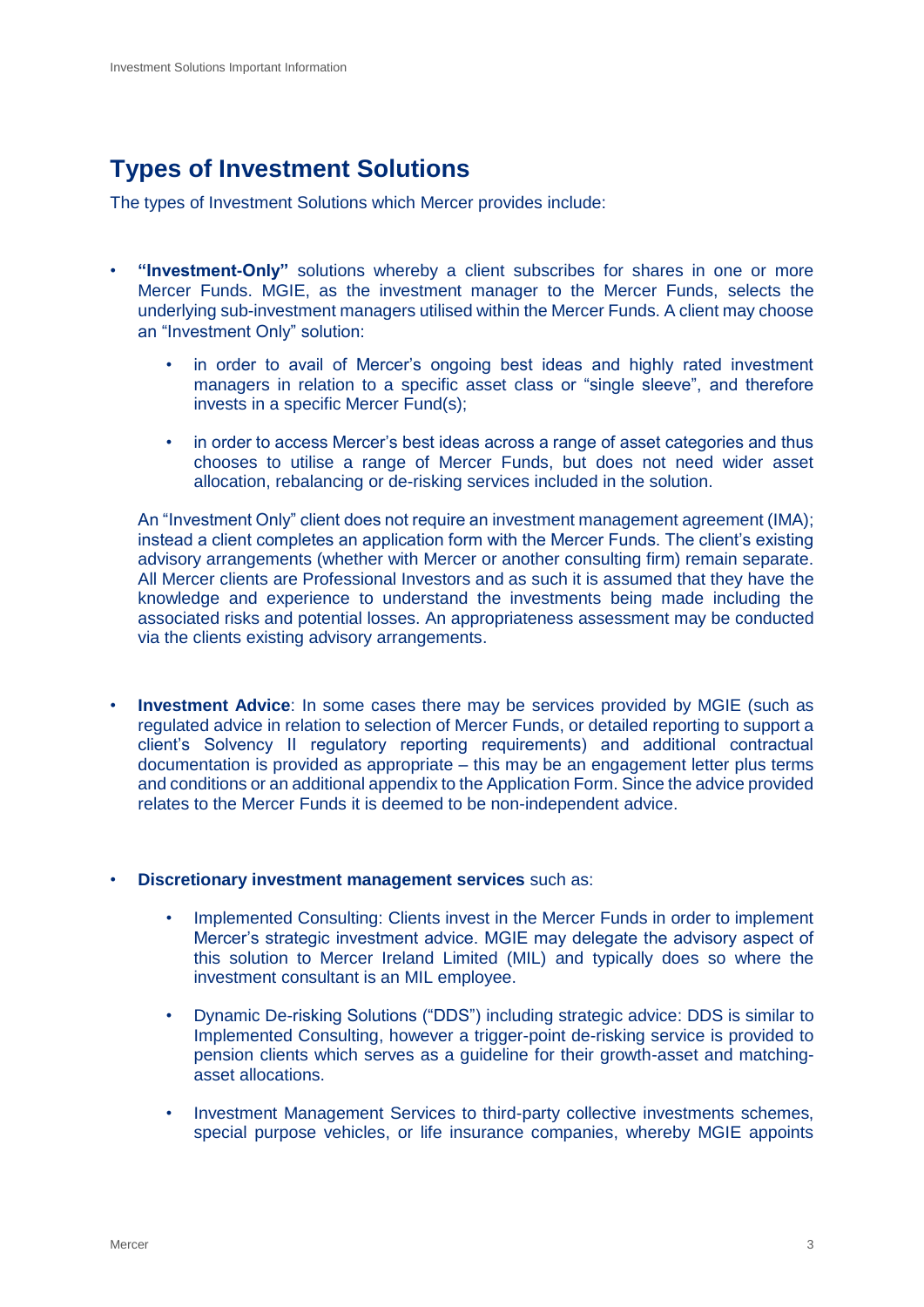## <span id="page-4-0"></span>**Types of Investment Solutions**

The types of Investment Solutions which Mercer provides include:

- **"Investment-Only"** solutions whereby a client subscribes for shares in one or more Mercer Funds. MGIE, as the investment manager to the Mercer Funds, selects the underlying sub-investment managers utilised within the Mercer Funds. A client may choose an "Investment Only" solution:
	- in order to avail of Mercer's ongoing best ideas and highly rated investment managers in relation to a specific asset class or "single sleeve", and therefore invests in a specific Mercer Fund(s);
	- in order to access Mercer's best ideas across a range of asset categories and thus chooses to utilise a range of Mercer Funds, but does not need wider asset allocation, rebalancing or de-risking services included in the solution.

An "Investment Only" client does not require an investment management agreement (IMA); instead a client completes an application form with the Mercer Funds. The client's existing advisory arrangements (whether with Mercer or another consulting firm) remain separate. All Mercer clients are Professional Investors and as such it is assumed that they have the knowledge and experience to understand the investments being made including the associated risks and potential losses. An appropriateness assessment may be conducted via the clients existing advisory arrangements.

- **Investment Advice**: In some cases there may be services provided by MGIE (such as regulated advice in relation to selection of Mercer Funds, or detailed reporting to support a client's Solvency II regulatory reporting requirements) and additional contractual documentation is provided as appropriate – this may be an engagement letter plus terms and conditions or an additional appendix to the Application Form. Since the advice provided relates to the Mercer Funds it is deemed to be non-independent advice.
- **Discretionary investment management services** such as:
	- Implemented Consulting: Clients invest in the Mercer Funds in order to implement Mercer's strategic investment advice. MGIE may delegate the advisory aspect of this solution to Mercer Ireland Limited (MIL) and typically does so where the investment consultant is an MIL employee.
	- Dynamic De-risking Solutions ("DDS") including strategic advice: DDS is similar to Implemented Consulting, however a trigger-point de-risking service is provided to pension clients which serves as a guideline for their growth-asset and matchingasset allocations.
	- Investment Management Services to third-party collective investments schemes, special purpose vehicles, or life insurance companies, whereby MGIE appoints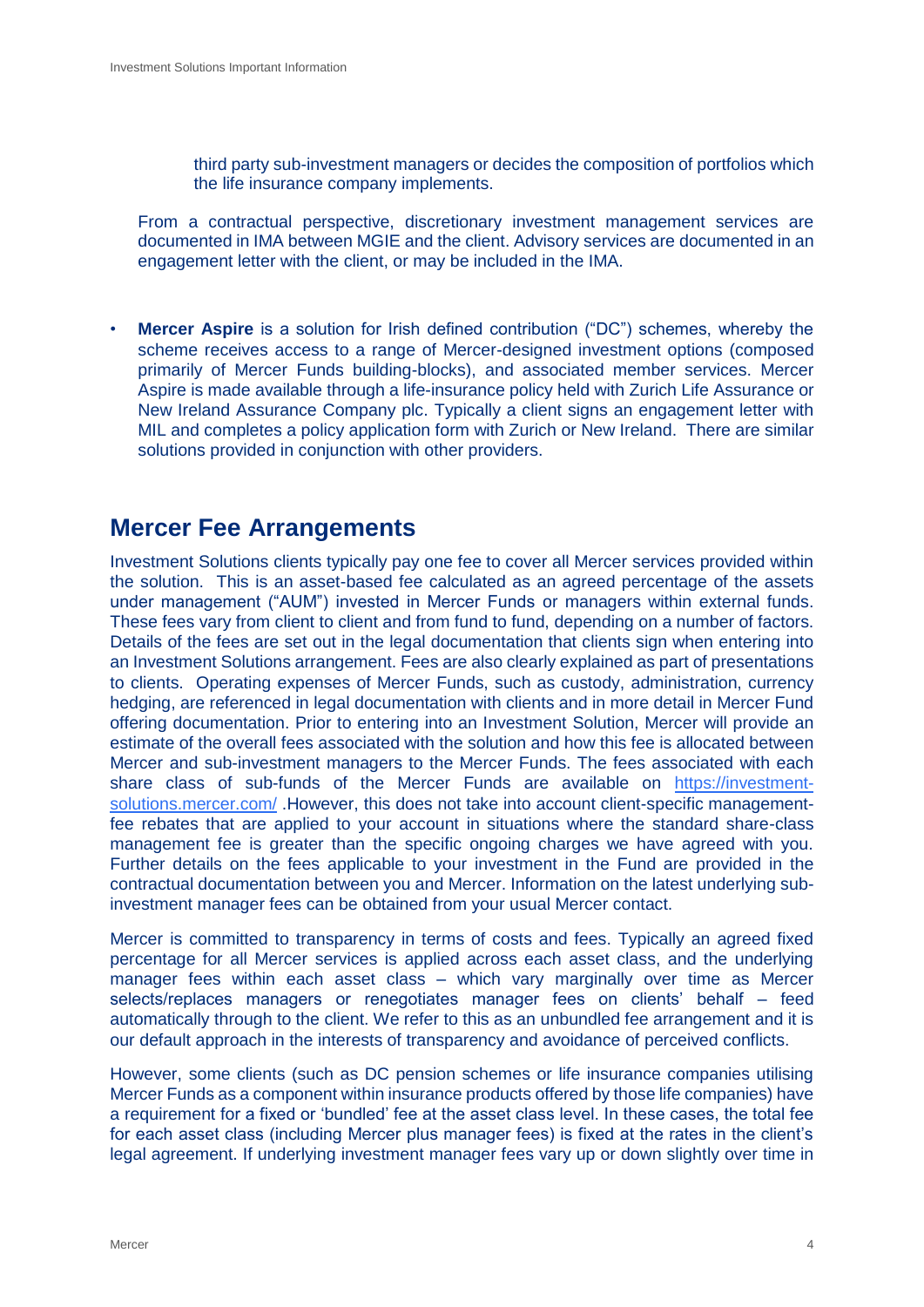third party sub-investment managers or decides the composition of portfolios which the life insurance company implements.

From a contractual perspective, discretionary investment management services are documented in IMA between MGIE and the client. Advisory services are documented in an engagement letter with the client, or may be included in the IMA.

**Mercer Aspire** is a solution for Irish defined contribution ("DC") schemes, whereby the scheme receives access to a range of Mercer-designed investment options (composed primarily of Mercer Funds building-blocks), and associated member services. Mercer Aspire is made available through a life-insurance policy held with Zurich Life Assurance or New Ireland Assurance Company plc. Typically a client signs an engagement letter with MIL and completes a policy application form with Zurich or New Ireland. There are similar solutions provided in conjunction with other providers.

### <span id="page-5-0"></span>**Mercer Fee Arrangements**

Investment Solutions clients typically pay one fee to cover all Mercer services provided within the solution. This is an asset-based fee calculated as an agreed percentage of the assets under management ("AUM") invested in Mercer Funds or managers within external funds. These fees vary from client to client and from fund to fund, depending on a number of factors. Details of the fees are set out in the legal documentation that clients sign when entering into an Investment Solutions arrangement. Fees are also clearly explained as part of presentations to clients. Operating expenses of Mercer Funds, such as custody, administration, currency hedging, are referenced in legal documentation with clients and in more detail in Mercer Fund offering documentation. Prior to entering into an Investment Solution, Mercer will provide an estimate of the overall fees associated with the solution and how this fee is allocated between Mercer and sub-investment managers to the Mercer Funds. The fees associated with each share class of sub-funds of the Mercer Funds are available on [https://investment](https://investment-solutions.mercer.com/)[solutions.mercer.com/](https://investment-solutions.mercer.com/) .However, this does not take into account client-specific managementfee rebates that are applied to your account in situations where the standard share-class management fee is greater than the specific ongoing charges we have agreed with you. Further details on the fees applicable to your investment in the Fund are provided in the contractual documentation between you and Mercer. Information on the latest underlying subinvestment manager fees can be obtained from your usual Mercer contact.

Mercer is committed to transparency in terms of costs and fees. Typically an agreed fixed percentage for all Mercer services is applied across each asset class, and the underlying manager fees within each asset class – which vary marginally over time as Mercer selects/replaces managers or renegotiates manager fees on clients' behalf – feed automatically through to the client. We refer to this as an unbundled fee arrangement and it is our default approach in the interests of transparency and avoidance of perceived conflicts.

However, some clients (such as DC pension schemes or life insurance companies utilising Mercer Funds as a component within insurance products offered by those life companies) have a requirement for a fixed or 'bundled' fee at the asset class level. In these cases, the total fee for each asset class (including Mercer plus manager fees) is fixed at the rates in the client's legal agreement. If underlying investment manager fees vary up or down slightly over time in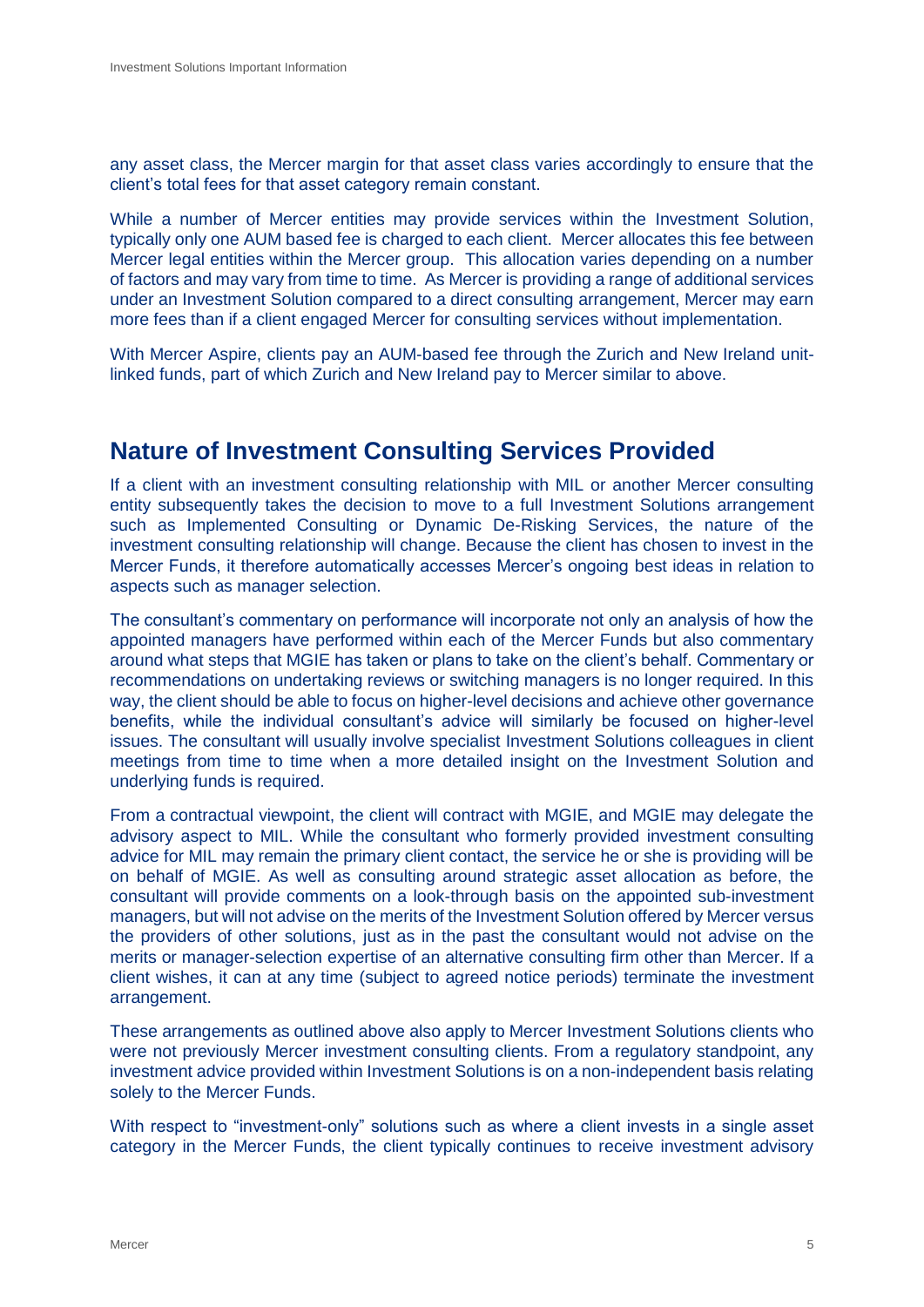any asset class, the Mercer margin for that asset class varies accordingly to ensure that the client's total fees for that asset category remain constant.

While a number of Mercer entities may provide services within the Investment Solution, typically only one AUM based fee is charged to each client. Mercer allocates this fee between Mercer legal entities within the Mercer group. This allocation varies depending on a number of factors and may vary from time to time. As Mercer is providing a range of additional services under an Investment Solution compared to a direct consulting arrangement, Mercer may earn more fees than if a client engaged Mercer for consulting services without implementation.

With Mercer Aspire, clients pay an AUM-based fee through the Zurich and New Ireland unitlinked funds, part of which Zurich and New Ireland pay to Mercer similar to above.

## <span id="page-6-0"></span>**Nature of Investment Consulting Services Provided**

If a client with an investment consulting relationship with MIL or another Mercer consulting entity subsequently takes the decision to move to a full Investment Solutions arrangement such as Implemented Consulting or Dynamic De-Risking Services, the nature of the investment consulting relationship will change. Because the client has chosen to invest in the Mercer Funds, it therefore automatically accesses Mercer's ongoing best ideas in relation to aspects such as manager selection.

The consultant's commentary on performance will incorporate not only an analysis of how the appointed managers have performed within each of the Mercer Funds but also commentary around what steps that MGIE has taken or plans to take on the client's behalf. Commentary or recommendations on undertaking reviews or switching managers is no longer required. In this way, the client should be able to focus on higher-level decisions and achieve other governance benefits, while the individual consultant's advice will similarly be focused on higher-level issues. The consultant will usually involve specialist Investment Solutions colleagues in client meetings from time to time when a more detailed insight on the Investment Solution and underlying funds is required.

From a contractual viewpoint, the client will contract with MGIE, and MGIE may delegate the advisory aspect to MIL. While the consultant who formerly provided investment consulting advice for MIL may remain the primary client contact, the service he or she is providing will be on behalf of MGIE. As well as consulting around strategic asset allocation as before, the consultant will provide comments on a look-through basis on the appointed sub-investment managers, but will not advise on the merits of the Investment Solution offered by Mercer versus the providers of other solutions, just as in the past the consultant would not advise on the merits or manager-selection expertise of an alternative consulting firm other than Mercer. If a client wishes, it can at any time (subject to agreed notice periods) terminate the investment arrangement.

These arrangements as outlined above also apply to Mercer Investment Solutions clients who were not previously Mercer investment consulting clients. From a regulatory standpoint, any investment advice provided within Investment Solutions is on a non-independent basis relating solely to the Mercer Funds.

With respect to "investment-only" solutions such as where a client invests in a single asset category in the Mercer Funds, the client typically continues to receive investment advisory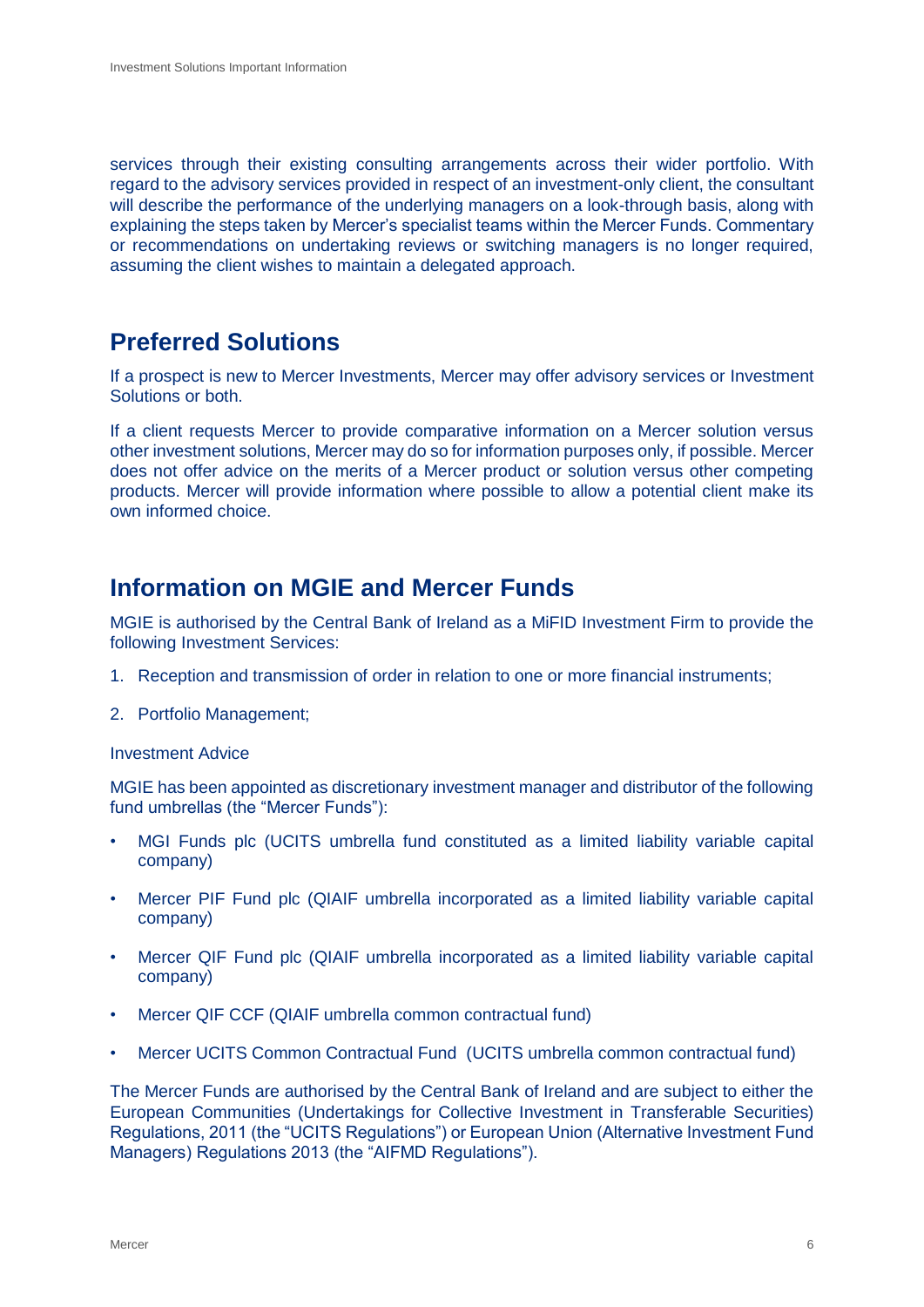services through their existing consulting arrangements across their wider portfolio. With regard to the advisory services provided in respect of an investment-only client, the consultant will describe the performance of the underlying managers on a look-through basis, along with explaining the steps taken by Mercer's specialist teams within the Mercer Funds. Commentary or recommendations on undertaking reviews or switching managers is no longer required, assuming the client wishes to maintain a delegated approach.

## <span id="page-7-0"></span>**Preferred Solutions**

If a prospect is new to Mercer Investments, Mercer may offer advisory services or Investment Solutions or both.

If a client requests Mercer to provide comparative information on a Mercer solution versus other investment solutions, Mercer may do so for information purposes only, if possible. Mercer does not offer advice on the merits of a Mercer product or solution versus other competing products. Mercer will provide information where possible to allow a potential client make its own informed choice.

## <span id="page-7-1"></span>**Information on MGIE and Mercer Funds**

MGIE is authorised by the Central Bank of Ireland as a MiFID Investment Firm to provide the following Investment Services:

- 1. Reception and transmission of order in relation to one or more financial instruments;
- 2. Portfolio Management;

#### Investment Advice

MGIE has been appointed as discretionary investment manager and distributor of the following fund umbrellas (the "Mercer Funds"):

- MGI Funds plc (UCITS umbrella fund constituted as a limited liability variable capital company)
- Mercer PIF Fund plc (QIAIF umbrella incorporated as a limited liability variable capital company)
- Mercer QIF Fund plc (QIAIF umbrella incorporated as a limited liability variable capital company)
- Mercer QIF CCF (QIAIF umbrella common contractual fund)
- Mercer UCITS Common Contractual Fund (UCITS umbrella common contractual fund)

The Mercer Funds are authorised by the Central Bank of Ireland and are subject to either the European Communities (Undertakings for Collective Investment in Transferable Securities) Regulations, 2011 (the "UCITS Regulations") or European Union (Alternative Investment Fund Managers) Regulations 2013 (the "AIFMD Regulations").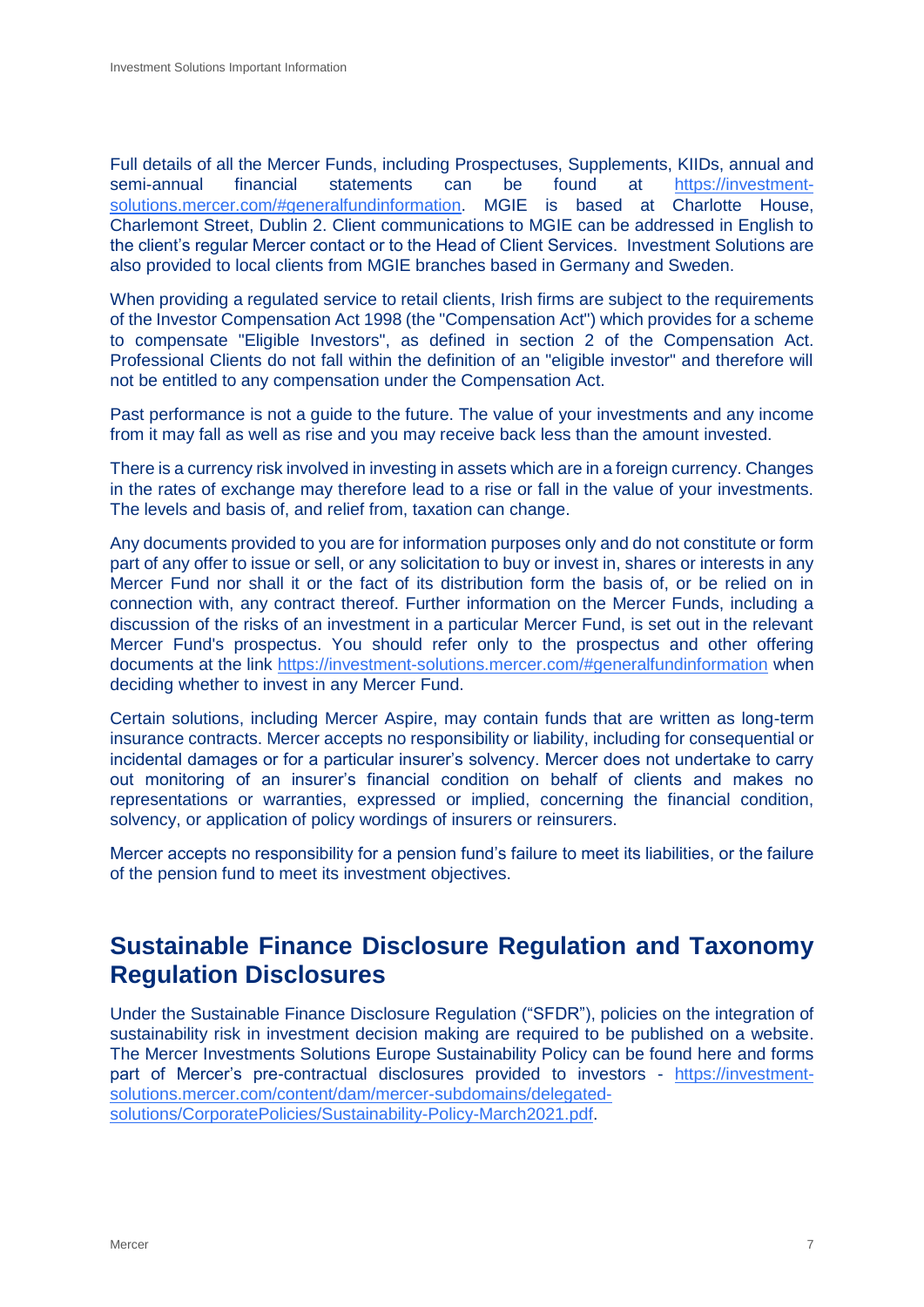Full details of all the Mercer Funds, including Prospectuses, Supplements, KIIDs, annual and semi-annual financial statements can be found at [https://investment](https://investment-solutions.mercer.com/#generalfundinformation)[solutions.mercer.com/#generalfundinformation.](https://investment-solutions.mercer.com/#generalfundinformation) MGIE is based at Charlotte House, Charlemont Street, Dublin 2. Client communications to MGIE can be addressed in English to the client's regular Mercer contact or to the Head of Client Services. Investment Solutions are also provided to local clients from MGIE branches based in Germany and Sweden.

When providing a regulated service to retail clients, Irish firms are subject to the reguirements of the Investor Compensation Act 1998 (the "Compensation Act") which provides for a scheme to compensate "Eligible Investors", as defined in section 2 of the Compensation Act. Professional Clients do not fall within the definition of an "eligible investor" and therefore will not be entitled to any compensation under the Compensation Act.

Past performance is not a guide to the future. The value of your investments and any income from it may fall as well as rise and you may receive back less than the amount invested.

There is a currency risk involved in investing in assets which are in a foreign currency. Changes in the rates of exchange may therefore lead to a rise or fall in the value of your investments. The levels and basis of, and relief from, taxation can change.

Any documents provided to you are for information purposes only and do not constitute or form part of any offer to issue or sell, or any solicitation to buy or invest in, shares or interests in any Mercer Fund nor shall it or the fact of its distribution form the basis of, or be relied on in connection with, any contract thereof. Further information on the Mercer Funds, including a discussion of the risks of an investment in a particular Mercer Fund, is set out in the relevant Mercer Fund's prospectus. You should refer only to the prospectus and other offering documents at the link [https://investment-solutions.mercer.com/#generalfundinformation](https://investment-solutions.mercer.com/) when deciding whether to invest in any Mercer Fund.

Certain solutions, including Mercer Aspire, may contain funds that are written as long-term insurance contracts. Mercer accepts no responsibility or liability, including for consequential or incidental damages or for a particular insurer's solvency. Mercer does not undertake to carry out monitoring of an insurer's financial condition on behalf of clients and makes no representations or warranties, expressed or implied, concerning the financial condition, solvency, or application of policy wordings of insurers or reinsurers.

Mercer accepts no responsibility for a pension fund's failure to meet its liabilities, or the failure of the pension fund to meet its investment objectives.

## <span id="page-8-0"></span>**Sustainable Finance Disclosure Regulation and Taxonomy Regulation Disclosures**

Under the Sustainable Finance Disclosure Regulation ("SFDR"), policies on the integration of sustainability risk in investment decision making are required to be published on a website. The Mercer Investments Solutions Europe Sustainability Policy can be found here and forms part of Mercer's pre-contractual disclosures provided to investors - [https://investment](https://investment-solutions.mercer.com/content/dam/mercer-subdomains/delegated-solutions/CorporatePolicies/Sustainability-Policy-March2021.pdf)[solutions.mercer.com/content/dam/mercer-subdomains/delegated](https://investment-solutions.mercer.com/content/dam/mercer-subdomains/delegated-solutions/CorporatePolicies/Sustainability-Policy-March2021.pdf)[solutions/CorporatePolicies/Sustainability-Policy-March2021.pdf.](https://investment-solutions.mercer.com/content/dam/mercer-subdomains/delegated-solutions/CorporatePolicies/Sustainability-Policy-March2021.pdf)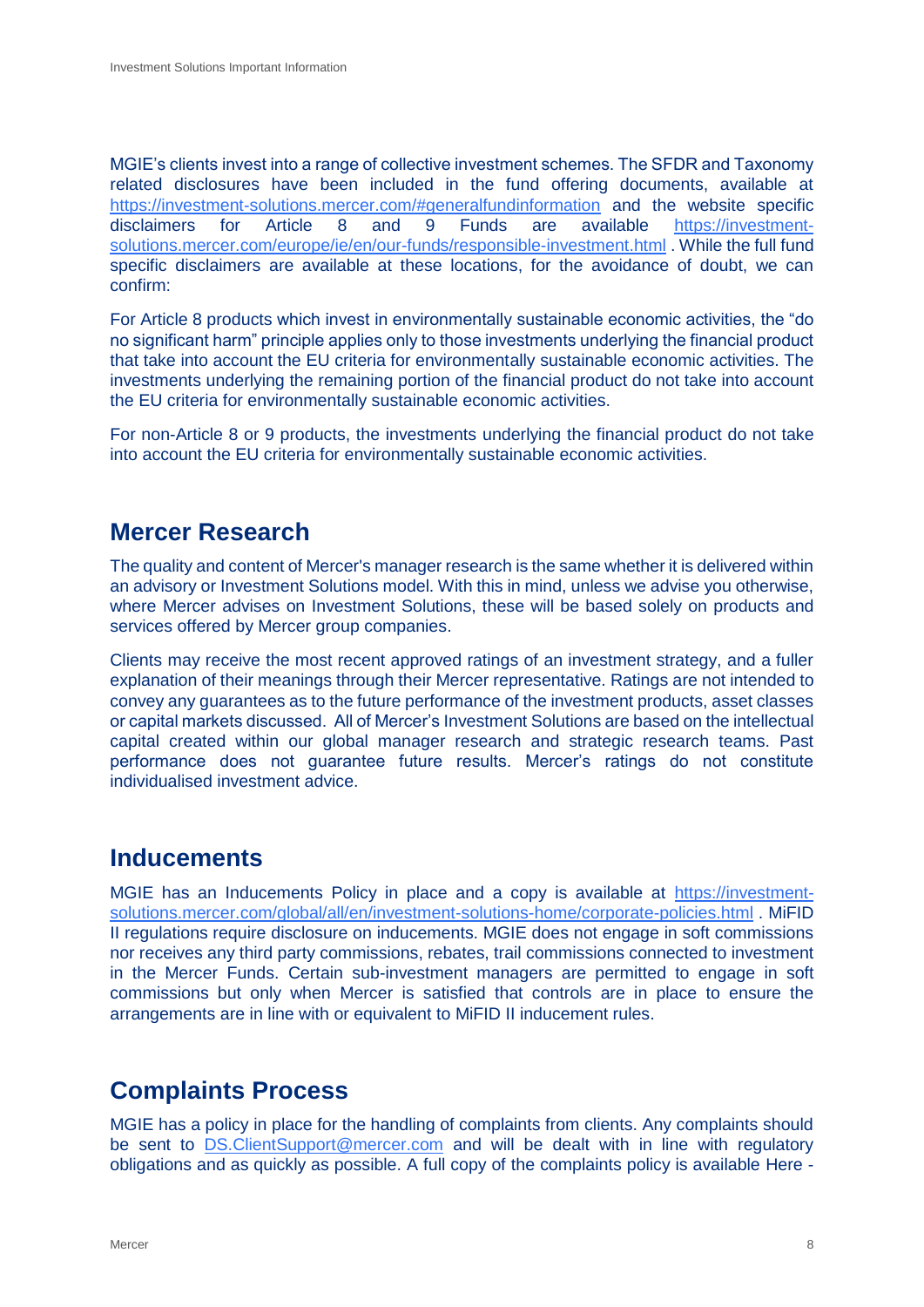MGIE's clients invest into a range of collective investment schemes. The SFDR and Taxonomy related disclosures have been included in the fund offering documents, available at [https://investment-solutions.mercer.com/#generalfundinformation](https://investment-solutions.mercer.com/) and the website specific disclaimers for Article 8 and 9 Funds are available [https://investment](https://investment-solutions.mercer.com/europe/ie/en/our-funds/responsible-investment.html)[solutions.mercer.com/europe/ie/en/our-funds/responsible-investment.html](https://investment-solutions.mercer.com/europe/ie/en/our-funds/responsible-investment.html) . While the full fund specific disclaimers are available at these locations, for the avoidance of doubt, we can confirm:

For Article 8 products which invest in environmentally sustainable economic activities, the "do no significant harm" principle applies only to those investments underlying the financial product that take into account the EU criteria for environmentally sustainable economic activities. The investments underlying the remaining portion of the financial product do not take into account the EU criteria for environmentally sustainable economic activities.

For non-Article 8 or 9 products, the investments underlying the financial product do not take into account the EU criteria for environmentally sustainable economic activities.

## <span id="page-9-0"></span>**Mercer Research**

The quality and content of Mercer's manager research is the same whether it is delivered within an advisory or Investment Solutions model. With this in mind, unless we advise you otherwise, where Mercer advises on Investment Solutions, these will be based solely on products and services offered by Mercer group companies.

Clients may receive the most recent approved ratings of an investment strategy, and a fuller explanation of their meanings through their Mercer representative. Ratings are not intended to convey any guarantees as to the future performance of the investment products, asset classes or capital markets discussed. All of Mercer's Investment Solutions are based on the intellectual capital created within our global manager research and strategic research teams. Past performance does not guarantee future results. Mercer's ratings do not constitute individualised investment advice.

## <span id="page-9-1"></span>**Inducements**

MGIE has an Inducements Policy in place and a copy is available at [https://investment](https://investment-solutions.mercer.com/global/all/en/investment-solutions-home/corporate-policies.html)[solutions.mercer.com/global/all/en/investment-solutions-home/corporate-policies.html](https://investment-solutions.mercer.com/global/all/en/investment-solutions-home/corporate-policies.html) . MiFID II regulations require disclosure on inducements. MGIE does not engage in soft commissions nor receives any third party commissions, rebates, trail commissions connected to investment in the Mercer Funds. Certain sub-investment managers are permitted to engage in soft commissions but only when Mercer is satisfied that controls are in place to ensure the arrangements are in line with or equivalent to MiFID II inducement rules.

## <span id="page-9-2"></span>**Complaints Process**

MGIE has a policy in place for the handling of complaints from clients. Any complaints should be sent to [DS.ClientSupport@mercer.com](mailto:DS.ClientSupport@mercer.com) and will be dealt with in line with regulatory obligations and as quickly as possible. A full copy of the complaints policy is available Here -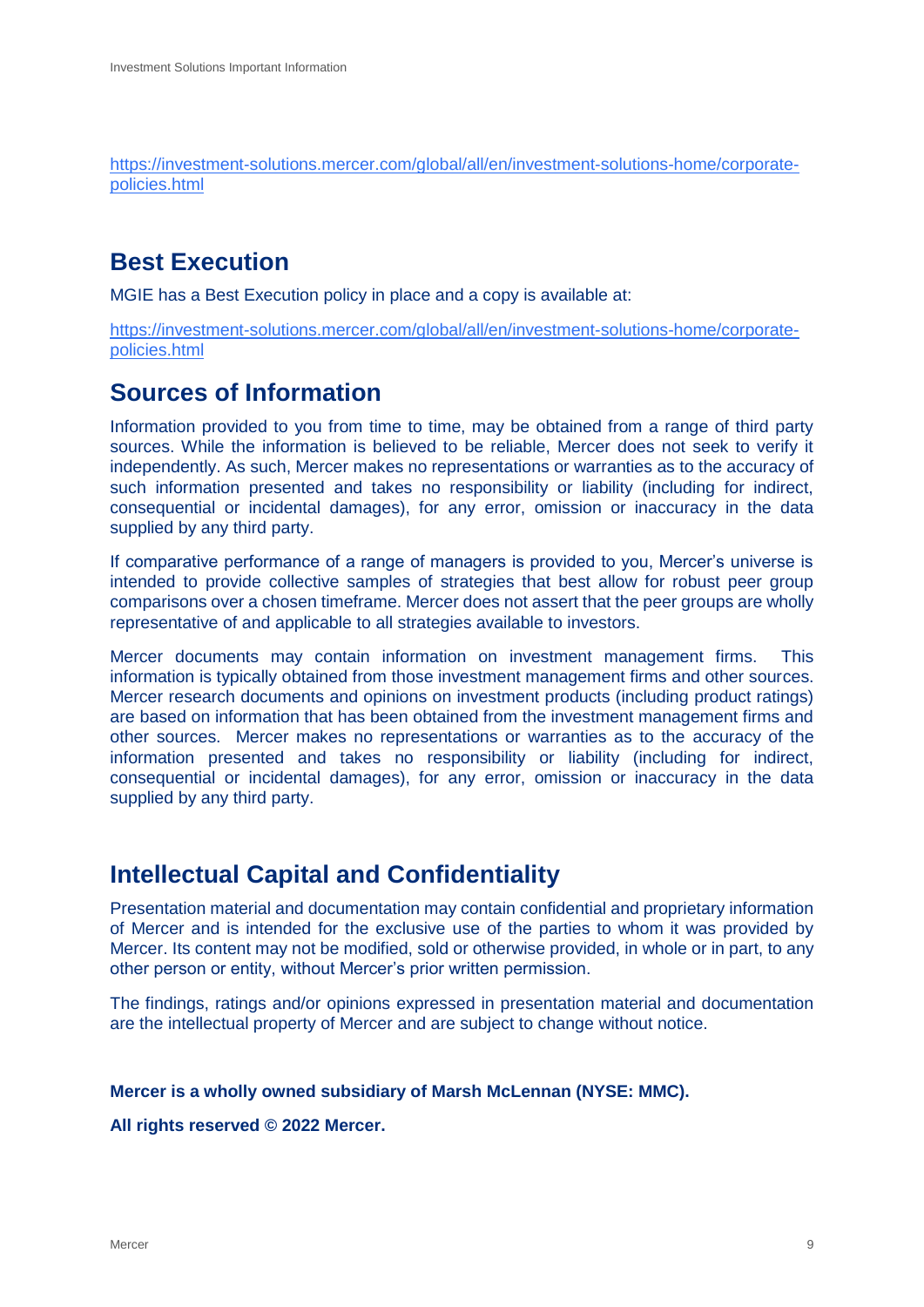[https://investment-solutions.mercer.com/global/all/en/investment-solutions-home/corporate](https://investment-solutions.mercer.com/global/all/en/investment-solutions-home/corporate-policies.html)[policies.html](https://investment-solutions.mercer.com/global/all/en/investment-solutions-home/corporate-policies.html)

## <span id="page-10-0"></span>**Best Execution**

MGIE has a Best Execution policy in place and a copy is available at:

[https://investment-solutions.mercer.com/global/all/en/investment-solutions-home/corporate](https://investment-solutions.mercer.com/global/all/en/investment-solutions-home/corporate-policies.html)[policies.html](https://investment-solutions.mercer.com/global/all/en/investment-solutions-home/corporate-policies.html)

## <span id="page-10-1"></span>**Sources of Information**

Information provided to you from time to time, may be obtained from a range of third party sources. While the information is believed to be reliable, Mercer does not seek to verify it independently. As such, Mercer makes no representations or warranties as to the accuracy of such information presented and takes no responsibility or liability (including for indirect, consequential or incidental damages), for any error, omission or inaccuracy in the data supplied by any third party.

If comparative performance of a range of managers is provided to you, Mercer's universe is intended to provide collective samples of strategies that best allow for robust peer group comparisons over a chosen timeframe. Mercer does not assert that the peer groups are wholly representative of and applicable to all strategies available to investors.

Mercer documents may contain information on investment management firms. This information is typically obtained from those investment management firms and other sources. Mercer research documents and opinions on investment products (including product ratings) are based on information that has been obtained from the investment management firms and other sources. Mercer makes no representations or warranties as to the accuracy of the information presented and takes no responsibility or liability (including for indirect, consequential or incidental damages), for any error, omission or inaccuracy in the data supplied by any third party.

## <span id="page-10-2"></span>**Intellectual Capital and Confidentiality**

Presentation material and documentation may contain confidential and proprietary information of Mercer and is intended for the exclusive use of the parties to whom it was provided by Mercer. Its content may not be modified, sold or otherwise provided, in whole or in part, to any other person or entity, without Mercer's prior written permission.

The findings, ratings and/or opinions expressed in presentation material and documentation are the intellectual property of Mercer and are subject to change without notice.

#### **Mercer is a wholly owned subsidiary of Marsh McLennan (NYSE: MMC).**

**All rights reserved © 2022 Mercer.**